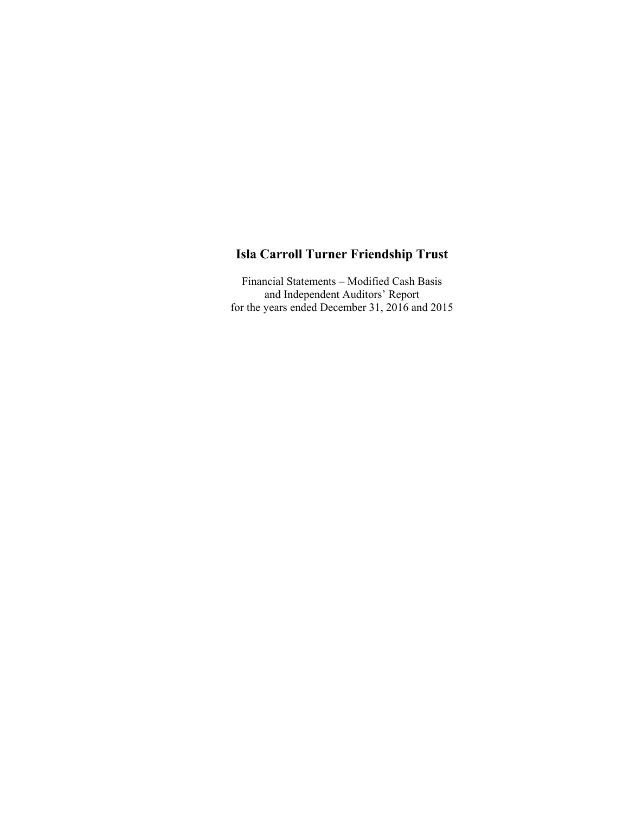Financial Statements – Modified Cash Basis and Independent Auditors' Report for the years ended December 31, 2016 and 2015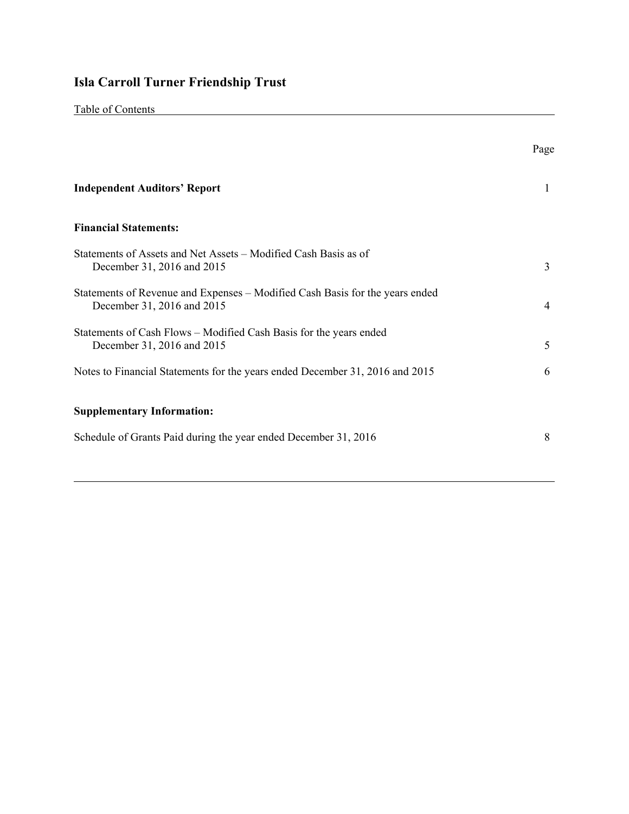|--|

|                                                                                                            | Page |
|------------------------------------------------------------------------------------------------------------|------|
| <b>Independent Auditors' Report</b>                                                                        | 1    |
| <b>Financial Statements:</b>                                                                               |      |
| Statements of Assets and Net Assets – Modified Cash Basis as of<br>December 31, 2016 and 2015              | 3    |
| Statements of Revenue and Expenses – Modified Cash Basis for the years ended<br>December 31, 2016 and 2015 | 4    |
| Statements of Cash Flows – Modified Cash Basis for the years ended<br>December 31, 2016 and 2015           | 5    |
| Notes to Financial Statements for the years ended December 31, 2016 and 2015                               | 6    |
| <b>Supplementary Information:</b>                                                                          |      |
| Schedule of Grants Paid during the year ended December 31, 2016                                            | 8    |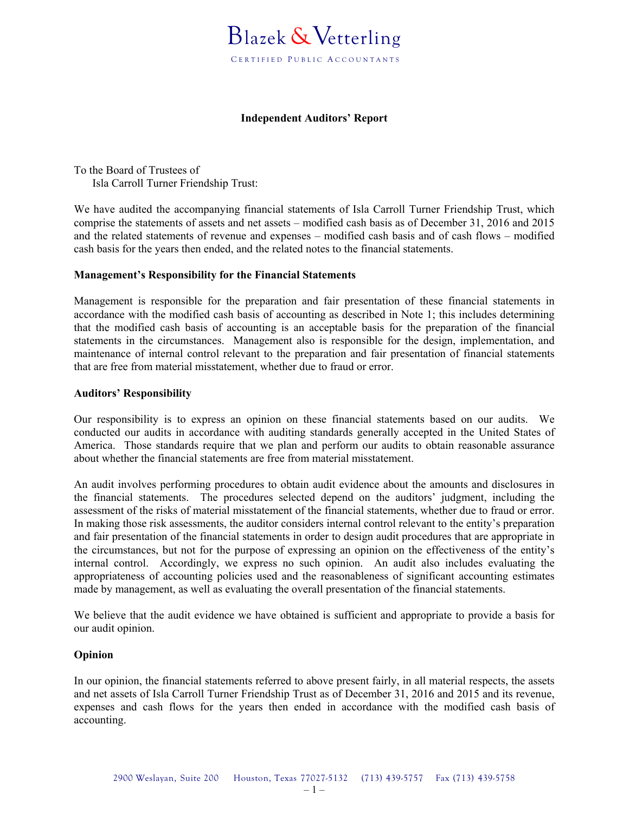### **Independent Auditors' Report**

To the Board of Trustees of Isla Carroll Turner Friendship Trust:

We have audited the accompanying financial statements of Isla Carroll Turner Friendship Trust, which comprise the statements of assets and net assets – modified cash basis as of December 31, 2016 and 2015 and the related statements of revenue and expenses – modified cash basis and of cash flows – modified cash basis for the years then ended, and the related notes to the financial statements.

### **Management's Responsibility for the Financial Statements**

Management is responsible for the preparation and fair presentation of these financial statements in accordance with the modified cash basis of accounting as described in Note 1; this includes determining that the modified cash basis of accounting is an acceptable basis for the preparation of the financial statements in the circumstances. Management also is responsible for the design, implementation, and maintenance of internal control relevant to the preparation and fair presentation of financial statements that are free from material misstatement, whether due to fraud or error.

#### **Auditors' Responsibility**

Our responsibility is to express an opinion on these financial statements based on our audits. We conducted our audits in accordance with auditing standards generally accepted in the United States of America. Those standards require that we plan and perform our audits to obtain reasonable assurance about whether the financial statements are free from material misstatement.

An audit involves performing procedures to obtain audit evidence about the amounts and disclosures in the financial statements. The procedures selected depend on the auditors' judgment, including the assessment of the risks of material misstatement of the financial statements, whether due to fraud or error. In making those risk assessments, the auditor considers internal control relevant to the entity's preparation and fair presentation of the financial statements in order to design audit procedures that are appropriate in the circumstances, but not for the purpose of expressing an opinion on the effectiveness of the entity's internal control. Accordingly, we express no such opinion. An audit also includes evaluating the appropriateness of accounting policies used and the reasonableness of significant accounting estimates made by management, as well as evaluating the overall presentation of the financial statements.

We believe that the audit evidence we have obtained is sufficient and appropriate to provide a basis for our audit opinion.

#### **Opinion**

In our opinion, the financial statements referred to above present fairly, in all material respects, the assets and net assets of Isla Carroll Turner Friendship Trust as of December 31, 2016 and 2015 and its revenue, expenses and cash flows for the years then ended in accordance with the modified cash basis of accounting.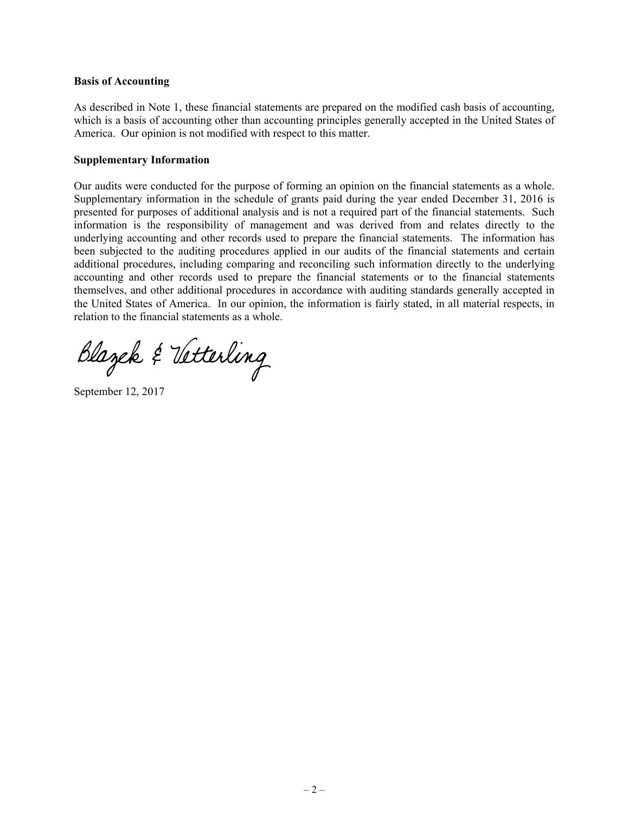#### **Basis of Accounting**

As described in Note 1, these financial statements are prepared on the modified cash basis of accounting, which is a basis of accounting other than accounting principles generally accepted in the United States of America. Our opinion is not modified with respect to this matter.

#### **Supplementary Information**

Our audits were conducted for the purpose of forming an opinion on the financial statements as a whole. Supplementary information in the schedule of grants paid during the year ended December 31, 2016 is presented for purposes of additional analysis and is not a required part of the financial statements. Such information is the responsibility of management and was derived from and relates directly to the underlying accounting and other records used to prepare the financial statements. The information has been subjected to the auditing procedures applied in our audits of the financial statements and certain additional procedures, including comparing and reconciling such information directly to the underlying accounting and other records used to prepare the financial statements or to the financial statements themselves, and other additional procedures in accordance with auditing standards generally accepted in the United States of America. In our opinion, the information is fairly stated, in all material respects, in relation to the financial statements as a whole.

Blazek & Vetterling

September 12, 2017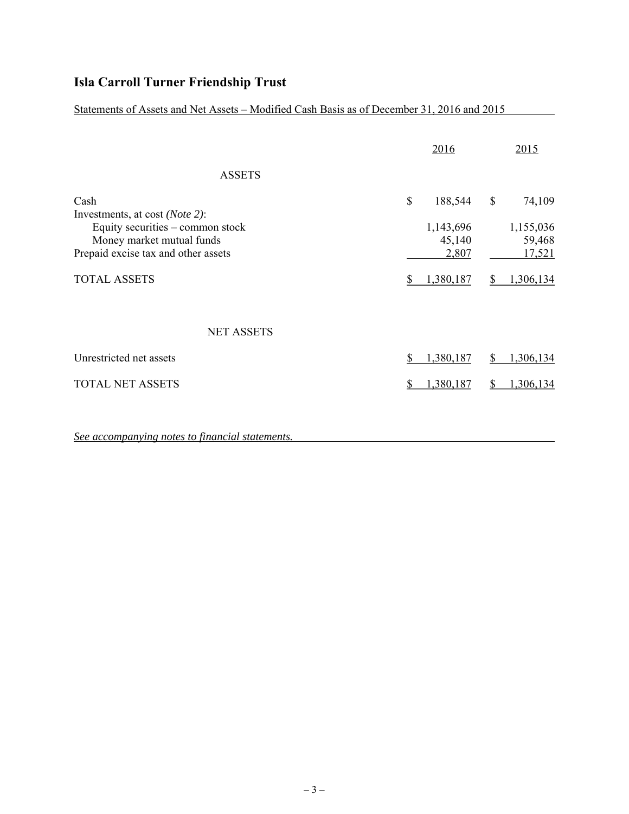Statements of Assets and Net Assets – Modified Cash Basis as of December 31, 2016 and 2015

|                                                 | 2016            |    | 2015      |
|-------------------------------------------------|-----------------|----|-----------|
| <b>ASSETS</b>                                   |                 |    |           |
| Cash<br>Investments, at cost ( <i>Note 2</i> ): | \$<br>188,544   | \$ | 74,109    |
| Equity securities – common stock                | 1,143,696       |    | 1,155,036 |
| Money market mutual funds                       | 45,140          |    | 59,468    |
| Prepaid excise tax and other assets             | 2,807           |    | 17,521    |
| <b>TOTAL ASSETS</b>                             | 1,380,187       |    | 1,306,134 |
| <b>NET ASSETS</b>                               |                 |    |           |
| Unrestricted net assets                         | \$<br>1,380,187 | S  | 1,306,134 |
| <b>TOTAL NET ASSETS</b>                         | 1,380,187       |    | 1,306,134 |

*See accompanying notes to financial statements.*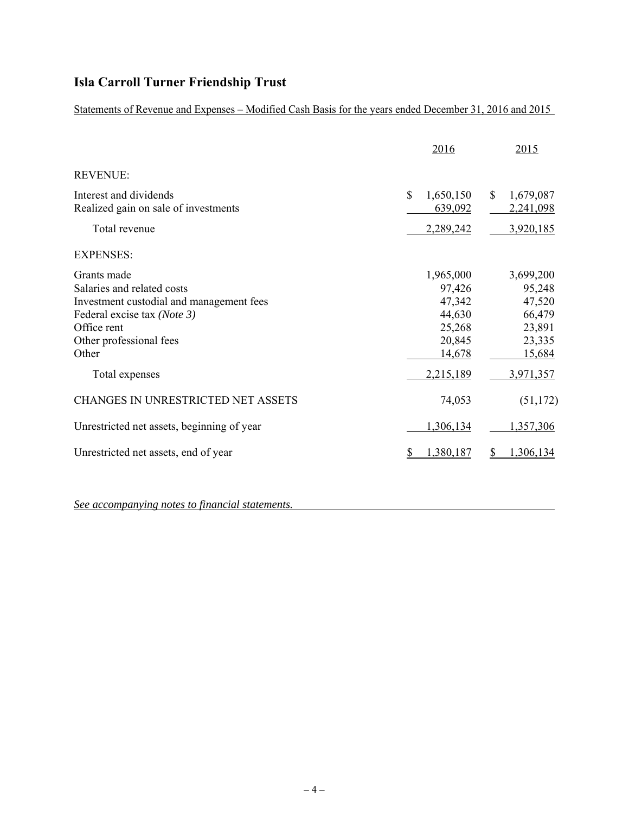Statements of Revenue and Expenses – Modified Cash Basis for the years ended December 31, 2016 and 2015

|                                                                                                                                                                                           | 2016                                                                               | 2015                                                                               |
|-------------------------------------------------------------------------------------------------------------------------------------------------------------------------------------------|------------------------------------------------------------------------------------|------------------------------------------------------------------------------------|
| <b>REVENUE:</b>                                                                                                                                                                           |                                                                                    |                                                                                    |
| Interest and dividends<br>Realized gain on sale of investments                                                                                                                            | \$<br>1,650,150<br>639,092                                                         | \$<br>1,679,087<br>2,241,098                                                       |
| Total revenue                                                                                                                                                                             | 2,289,242                                                                          | 3,920,185                                                                          |
| <b>EXPENSES:</b>                                                                                                                                                                          |                                                                                    |                                                                                    |
| Grants made<br>Salaries and related costs<br>Investment custodial and management fees<br>Federal excise tax (Note 3)<br>Office rent<br>Other professional fees<br>Other<br>Total expenses | 1,965,000<br>97,426<br>47,342<br>44,630<br>25,268<br>20,845<br>14,678<br>2,215,189 | 3,699,200<br>95,248<br>47,520<br>66,479<br>23,891<br>23,335<br>15,684<br>3,971,357 |
| <b>CHANGES IN UNRESTRICTED NET ASSETS</b>                                                                                                                                                 | 74,053                                                                             | (51, 172)                                                                          |
| Unrestricted net assets, beginning of year                                                                                                                                                | 1,306,134                                                                          | 1,357,306                                                                          |
| Unrestricted net assets, end of year                                                                                                                                                      | 1,380,187                                                                          | 1,306,134                                                                          |

*See accompanying notes to financial statements.*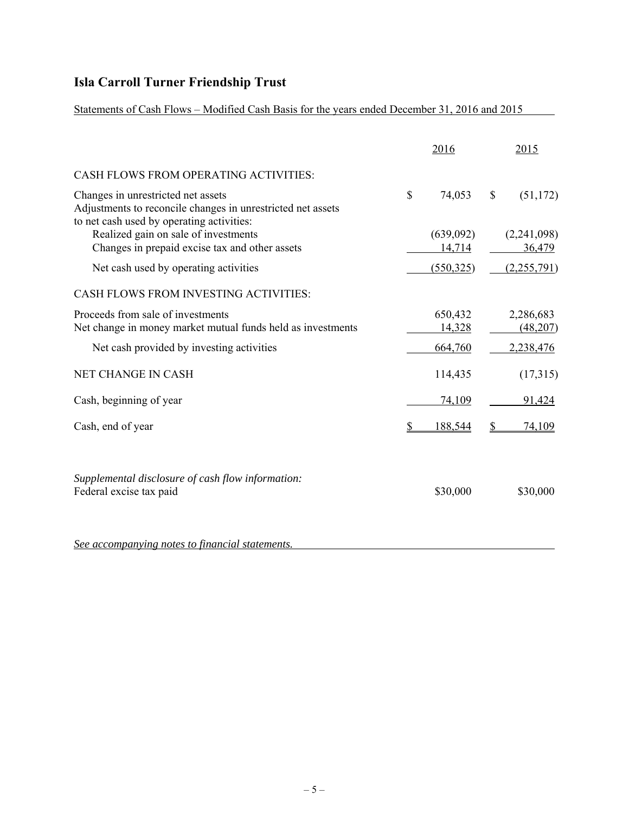Statements of Cash Flows – Modified Cash Basis for the years ended December 31, 2016 and 2015

|                                                                                                                                                |               | 2016              |    | 2015                  |
|------------------------------------------------------------------------------------------------------------------------------------------------|---------------|-------------------|----|-----------------------|
| CASH FLOWS FROM OPERATING ACTIVITIES:                                                                                                          |               |                   |    |                       |
| Changes in unrestricted net assets<br>Adjustments to reconcile changes in unrestricted net assets<br>to net cash used by operating activities: | $\mathcal{S}$ | 74,053            | \$ | (51, 172)             |
| Realized gain on sale of investments                                                                                                           |               | (639,092)         |    | (2,241,098)           |
| Changes in prepaid excise tax and other assets                                                                                                 |               | 14,714            |    | 36,479                |
| Net cash used by operating activities                                                                                                          |               | (550, 325)        |    | (2,255,791)           |
| CASH FLOWS FROM INVESTING ACTIVITIES:                                                                                                          |               |                   |    |                       |
| Proceeds from sale of investments<br>Net change in money market mutual funds held as investments                                               |               | 650,432<br>14,328 |    | 2,286,683<br>(48,207) |
| Net cash provided by investing activities                                                                                                      |               | 664,760           |    | 2,238,476             |
| NET CHANGE IN CASH                                                                                                                             |               | 114,435           |    | (17,315)              |
| Cash, beginning of year                                                                                                                        |               | 74,109            |    | 91,424                |
| Cash, end of year                                                                                                                              |               | 188,544           | S  | 74,109                |
| Supplemental disclosure of cash flow information:<br>Federal excise tax paid                                                                   |               | \$30,000          |    | \$30,000              |
| See accompanying notes to financial statements.                                                                                                |               |                   |    |                       |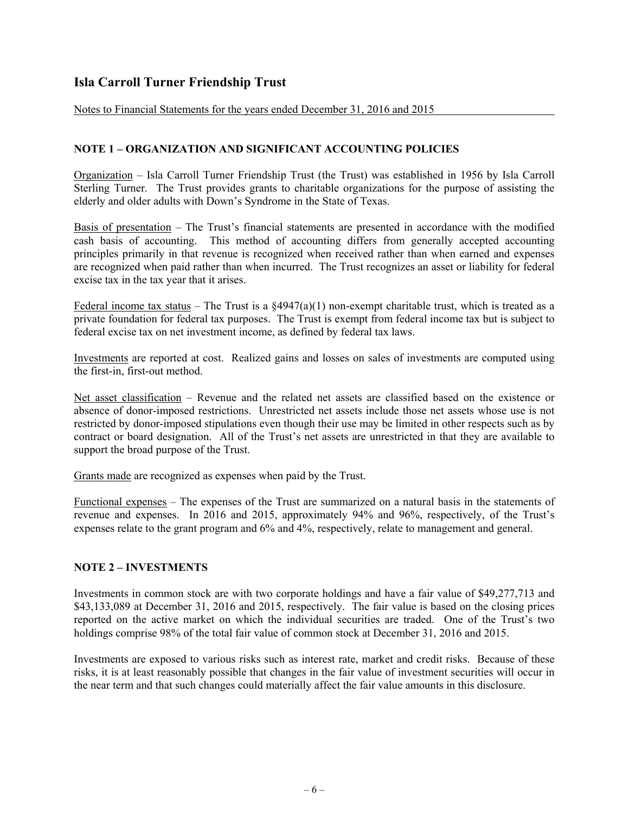Notes to Financial Statements for the years ended December 31, 2016 and 2015

### **NOTE 1 – ORGANIZATION AND SIGNIFICANT ACCOUNTING POLICIES**

Organization – Isla Carroll Turner Friendship Trust (the Trust) was established in 1956 by Isla Carroll Sterling Turner. The Trust provides grants to charitable organizations for the purpose of assisting the elderly and older adults with Down's Syndrome in the State of Texas.

Basis of presentation – The Trust's financial statements are presented in accordance with the modified cash basis of accounting. This method of accounting differs from generally accepted accounting principles primarily in that revenue is recognized when received rather than when earned and expenses are recognized when paid rather than when incurred. The Trust recognizes an asset or liability for federal excise tax in the tax year that it arises.

Federal income tax status – The Trust is a  $\S 4947(a)(1)$  non-exempt charitable trust, which is treated as a private foundation for federal tax purposes. The Trust is exempt from federal income tax but is subject to federal excise tax on net investment income, as defined by federal tax laws.

Investments are reported at cost. Realized gains and losses on sales of investments are computed using the first-in, first-out method.

Net asset classification – Revenue and the related net assets are classified based on the existence or absence of donor-imposed restrictions. Unrestricted net assets include those net assets whose use is not restricted by donor-imposed stipulations even though their use may be limited in other respects such as by contract or board designation. All of the Trust's net assets are unrestricted in that they are available to support the broad purpose of the Trust.

Grants made are recognized as expenses when paid by the Trust.

Functional expenses – The expenses of the Trust are summarized on a natural basis in the statements of revenue and expenses. In 2016 and 2015, approximately 94% and 96%, respectively, of the Trust's expenses relate to the grant program and 6% and 4%, respectively, relate to management and general.

### **NOTE 2 – INVESTMENTS**

Investments in common stock are with two corporate holdings and have a fair value of \$49,277,713 and \$43,133,089 at December 31, 2016 and 2015, respectively. The fair value is based on the closing prices reported on the active market on which the individual securities are traded. One of the Trust's two holdings comprise 98% of the total fair value of common stock at December 31, 2016 and 2015.

Investments are exposed to various risks such as interest rate, market and credit risks. Because of these risks, it is at least reasonably possible that changes in the fair value of investment securities will occur in the near term and that such changes could materially affect the fair value amounts in this disclosure.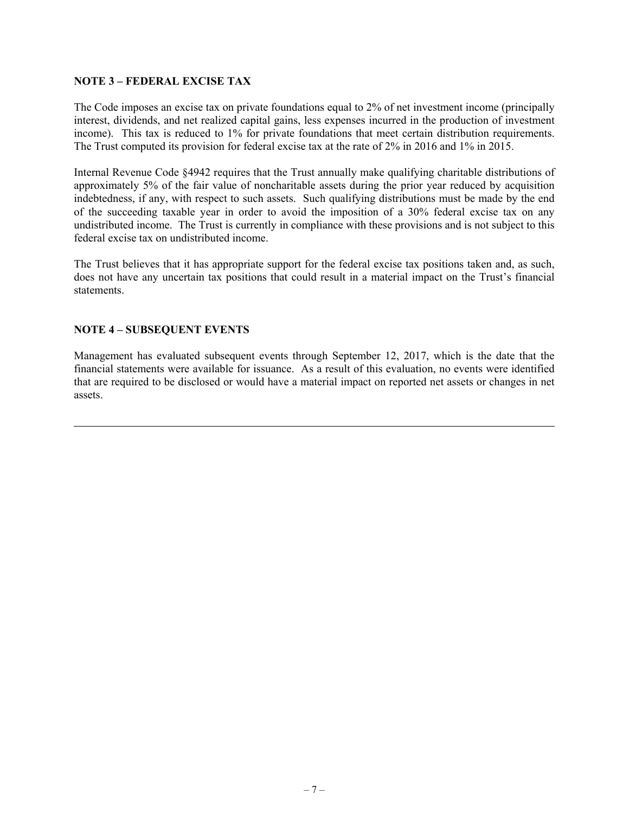### **NOTE 3 – FEDERAL EXCISE TAX**

The Code imposes an excise tax on private foundations equal to 2% of net investment income (principally interest, dividends, and net realized capital gains, less expenses incurred in the production of investment income). This tax is reduced to 1% for private foundations that meet certain distribution requirements. The Trust computed its provision for federal excise tax at the rate of 2% in 2016 and 1% in 2015.

Internal Revenue Code §4942 requires that the Trust annually make qualifying charitable distributions of approximately 5% of the fair value of noncharitable assets during the prior year reduced by acquisition indebtedness, if any, with respect to such assets. Such qualifying distributions must be made by the end of the succeeding taxable year in order to avoid the imposition of a 30% federal excise tax on any undistributed income. The Trust is currently in compliance with these provisions and is not subject to this federal excise tax on undistributed income.

The Trust believes that it has appropriate support for the federal excise tax positions taken and, as such, does not have any uncertain tax positions that could result in a material impact on the Trust's financial statements.

### **NOTE 4 – SUBSEQUENT EVENTS**

Management has evaluated subsequent events through September 12, 2017, which is the date that the financial statements were available for issuance. As a result of this evaluation, no events were identified that are required to be disclosed or would have a material impact on reported net assets or changes in net assets.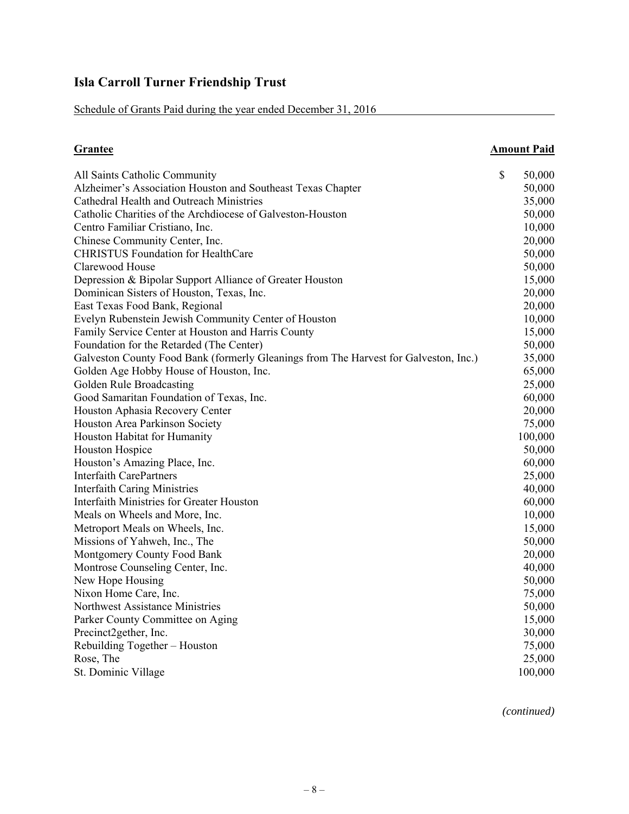Schedule of Grants Paid during the year ended December 31, 2016

| <b>Grantee</b>                                                                       | <b>Amount Paid</b> |
|--------------------------------------------------------------------------------------|--------------------|
| All Saints Catholic Community                                                        | \$<br>50,000       |
| Alzheimer's Association Houston and Southeast Texas Chapter                          | 50,000             |
| Cathedral Health and Outreach Ministries                                             | 35,000             |
| Catholic Charities of the Archdiocese of Galveston-Houston                           | 50,000             |
| Centro Familiar Cristiano, Inc.                                                      | 10,000             |
| Chinese Community Center, Inc.                                                       | 20,000             |
| <b>CHRISTUS Foundation for HealthCare</b>                                            | 50,000             |
| Clarewood House                                                                      | 50,000             |
| Depression & Bipolar Support Alliance of Greater Houston                             | 15,000             |
| Dominican Sisters of Houston, Texas, Inc.                                            | 20,000             |
| East Texas Food Bank, Regional                                                       | 20,000             |
| Evelyn Rubenstein Jewish Community Center of Houston                                 | 10,000             |
| Family Service Center at Houston and Harris County                                   | 15,000             |
| Foundation for the Retarded (The Center)                                             | 50,000             |
| Galveston County Food Bank (formerly Gleanings from The Harvest for Galveston, Inc.) | 35,000             |
| Golden Age Hobby House of Houston, Inc.                                              | 65,000             |
| Golden Rule Broadcasting                                                             | 25,000             |
| Good Samaritan Foundation of Texas, Inc.                                             | 60,000             |
| Houston Aphasia Recovery Center                                                      | 20,000             |
| Houston Area Parkinson Society                                                       | 75,000             |
| Houston Habitat for Humanity                                                         | 100,000            |
| Houston Hospice                                                                      | 50,000             |
| Houston's Amazing Place, Inc.                                                        | 60,000             |
| <b>Interfaith CarePartners</b>                                                       | 25,000             |
| <b>Interfaith Caring Ministries</b>                                                  | 40,000             |
| Interfaith Ministries for Greater Houston                                            | 60,000             |
| Meals on Wheels and More, Inc.                                                       | 10,000             |
| Metroport Meals on Wheels, Inc.                                                      | 15,000             |
| Missions of Yahweh, Inc., The                                                        | 50,000             |
| Montgomery County Food Bank                                                          | 20,000             |
| Montrose Counseling Center, Inc.                                                     | 40,000             |
| New Hope Housing                                                                     | 50,000             |
| Nixon Home Care, Inc.                                                                | 75,000             |
| Northwest Assistance Ministries                                                      | 50,000             |
| Parker County Committee on Aging                                                     | 15,000             |
| Precinct2gether, Inc.                                                                | 30,000             |
| Rebuilding Together - Houston                                                        | 75,000             |
| Rose, The                                                                            | 25,000             |
| St. Dominic Village                                                                  | 100,000            |

*(continued)*